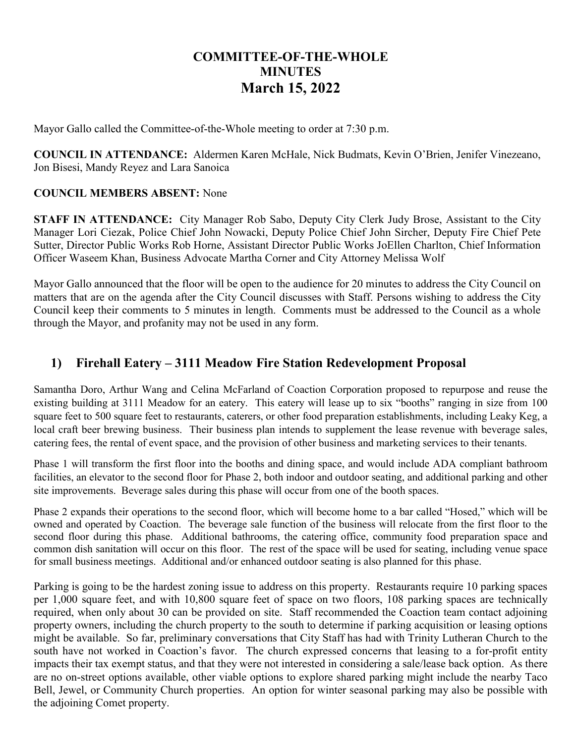## **COMMITTEE-OF-THE-WHOLE MINUTES March 15, 2022**

Mayor Gallo called the Committee-of-the-Whole meeting to order at 7:30 p.m.

**COUNCIL IN ATTENDANCE:** Aldermen Karen McHale, Nick Budmats, Kevin O'Brien, Jenifer Vinezeano, Jon Bisesi, Mandy Reyez and Lara Sanoica

#### **COUNCIL MEMBERS ABSENT:** None

**STAFF IN ATTENDANCE:** City Manager Rob Sabo, Deputy City Clerk Judy Brose, Assistant to the City Manager Lori Ciezak, Police Chief John Nowacki, Deputy Police Chief John Sircher, Deputy Fire Chief Pete Sutter, Director Public Works Rob Horne, Assistant Director Public Works JoEllen Charlton, Chief Information Officer Waseem Khan, Business Advocate Martha Corner and City Attorney Melissa Wolf

Mayor Gallo announced that the floor will be open to the audience for 20 minutes to address the City Council on matters that are on the agenda after the City Council discusses with Staff. Persons wishing to address the City Council keep their comments to 5 minutes in length. Comments must be addressed to the Council as a whole through the Mayor, and profanity may not be used in any form.

#### **1) Firehall Eatery – 3111 Meadow Fire Station Redevelopment Proposal**

Samantha Doro, Arthur Wang and Celina McFarland of Coaction Corporation proposed to repurpose and reuse the existing building at 3111 Meadow for an eatery. This eatery will lease up to six "booths" ranging in size from 100 square feet to 500 square feet to restaurants, caterers, or other food preparation establishments, including Leaky Keg, a local craft beer brewing business. Their business plan intends to supplement the lease revenue with beverage sales, catering fees, the rental of event space, and the provision of other business and marketing services to their tenants.

Phase 1 will transform the first floor into the booths and dining space, and would include ADA compliant bathroom facilities, an elevator to the second floor for Phase 2, both indoor and outdoor seating, and additional parking and other site improvements. Beverage sales during this phase will occur from one of the booth spaces.

Phase 2 expands their operations to the second floor, which will become home to a bar called "Hosed," which will be owned and operated by Coaction. The beverage sale function of the business will relocate from the first floor to the second floor during this phase. Additional bathrooms, the catering office, community food preparation space and common dish sanitation will occur on this floor. The rest of the space will be used for seating, including venue space for small business meetings. Additional and/or enhanced outdoor seating is also planned for this phase.

Parking is going to be the hardest zoning issue to address on this property. Restaurants require 10 parking spaces per 1,000 square feet, and with 10,800 square feet of space on two floors, 108 parking spaces are technically required, when only about 30 can be provided on site. Staff recommended the Coaction team contact adjoining property owners, including the church property to the south to determine if parking acquisition or leasing options might be available. So far, preliminary conversations that City Staff has had with Trinity Lutheran Church to the south have not worked in Coaction's favor. The church expressed concerns that leasing to a for-profit entity impacts their tax exempt status, and that they were not interested in considering a sale/lease back option. As there are no on-street options available, other viable options to explore shared parking might include the nearby Taco Bell, Jewel, or Community Church properties. An option for winter seasonal parking may also be possible with the adjoining Comet property.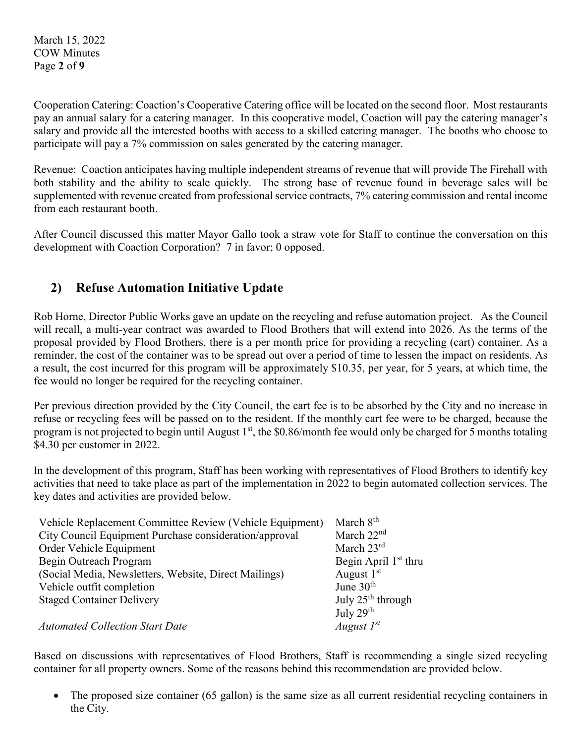March 15, 2022 COW Minutes Page **2** of **9**

Cooperation Catering: Coaction's Cooperative Catering office will be located on the second floor. Most restaurants pay an annual salary for a catering manager. In this cooperative model, Coaction will pay the catering manager's salary and provide all the interested booths with access to a skilled catering manager. The booths who choose to participate will pay a 7% commission on sales generated by the catering manager.

Revenue: Coaction anticipates having multiple independent streams of revenue that will provide The Firehall with both stability and the ability to scale quickly. The strong base of revenue found in beverage sales will be supplemented with revenue created from professional service contracts, 7% catering commission and rental income from each restaurant booth.

After Council discussed this matter Mayor Gallo took a straw vote for Staff to continue the conversation on this development with Coaction Corporation? 7 in favor; 0 opposed.

## **2) Refuse Automation Initiative Update**

Rob Horne, Director Public Works gave an update on the recycling and refuse automation project. As the Council will recall, a multi-year contract was awarded to Flood Brothers that will extend into 2026. As the terms of the proposal provided by Flood Brothers, there is a per month price for providing a recycling (cart) container. As a reminder, the cost of the container was to be spread out over a period of time to lessen the impact on residents. As a result, the cost incurred for this program will be approximately \$10.35, per year, for 5 years, at which time, the fee would no longer be required for the recycling container.

Per previous direction provided by the City Council, the cart fee is to be absorbed by the City and no increase in refuse or recycling fees will be passed on to the resident. If the monthly cart fee were to be charged, because the program is not projected to begin until August  $1<sup>st</sup>$ , the \$0.86/month fee would only be charged for 5 months totaling \$4.30 per customer in 2022.

In the development of this program, Staff has been working with representatives of Flood Brothers to identify key activities that need to take place as part of the implementation in 2022 to begin automated collection services. The key dates and activities are provided below.

| Vehicle Replacement Committee Review (Vehicle Equipment) | March 8 <sup>th</sup>         |
|----------------------------------------------------------|-------------------------------|
| City Council Equipment Purchase consideration/approval   | March 22 <sup>nd</sup>        |
| Order Vehicle Equipment                                  | March $23^{\text{rd}}$        |
| Begin Outreach Program                                   | Begin April $1st$ thru        |
| (Social Media, Newsletters, Website, Direct Mailings)    | August $1st$                  |
| Vehicle outfit completion                                | June $30th$                   |
| <b>Staged Container Delivery</b>                         | July 25 <sup>th</sup> through |
|                                                          | July 29th                     |
| <b>Automated Collection Start Date</b>                   | August $I^{st}$               |

Based on discussions with representatives of Flood Brothers, Staff is recommending a single sized recycling container for all property owners. Some of the reasons behind this recommendation are provided below.

• The proposed size container (65 gallon) is the same size as all current residential recycling containers in the City.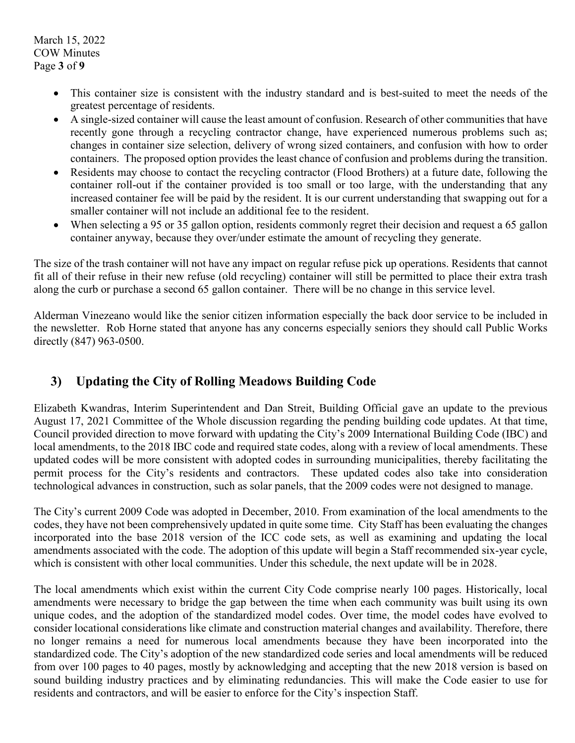- This container size is consistent with the industry standard and is best-suited to meet the needs of the greatest percentage of residents.
- A single-sized container will cause the least amount of confusion. Research of other communities that have recently gone through a recycling contractor change, have experienced numerous problems such as; changes in container size selection, delivery of wrong sized containers, and confusion with how to order containers. The proposed option provides the least chance of confusion and problems during the transition.
- Residents may choose to contact the recycling contractor (Flood Brothers) at a future date, following the container roll-out if the container provided is too small or too large, with the understanding that any increased container fee will be paid by the resident. It is our current understanding that swapping out for a smaller container will not include an additional fee to the resident.
- When selecting a 95 or 35 gallon option, residents commonly regret their decision and request a 65 gallon container anyway, because they over/under estimate the amount of recycling they generate.

The size of the trash container will not have any impact on regular refuse pick up operations. Residents that cannot fit all of their refuse in their new refuse (old recycling) container will still be permitted to place their extra trash along the curb or purchase a second 65 gallon container. There will be no change in this service level.

Alderman Vinezeano would like the senior citizen information especially the back door service to be included in the newsletter. Rob Horne stated that anyone has any concerns especially seniors they should call Public Works directly (847) 963-0500.

### **3) Updating the City of Rolling Meadows Building Code**

Elizabeth Kwandras, Interim Superintendent and Dan Streit, Building Official gave an update to the previous August 17, 2021 Committee of the Whole discussion regarding the pending building code updates. At that time, Council provided direction to move forward with updating the City's 2009 International Building Code (IBC) and local amendments, to the 2018 IBC code and required state codes, along with a review of local amendments. These updated codes will be more consistent with adopted codes in surrounding municipalities, thereby facilitating the permit process for the City's residents and contractors. These updated codes also take into consideration technological advances in construction, such as solar panels, that the 2009 codes were not designed to manage.

The City's current 2009 Code was adopted in December, 2010. From examination of the local amendments to the codes, they have not been comprehensively updated in quite some time. City Staff has been evaluating the changes incorporated into the base 2018 version of the ICC code sets, as well as examining and updating the local amendments associated with the code. The adoption of this update will begin a Staff recommended six-year cycle, which is consistent with other local communities. Under this schedule, the next update will be in 2028.

The local amendments which exist within the current City Code comprise nearly 100 pages. Historically, local amendments were necessary to bridge the gap between the time when each community was built using its own unique codes, and the adoption of the standardized model codes. Over time, the model codes have evolved to consider locational considerations like climate and construction material changes and availability. Therefore, there no longer remains a need for numerous local amendments because they have been incorporated into the standardized code. The City's adoption of the new standardized code series and local amendments will be reduced from over 100 pages to 40 pages, mostly by acknowledging and accepting that the new 2018 version is based on sound building industry practices and by eliminating redundancies. This will make the Code easier to use for residents and contractors, and will be easier to enforce for the City's inspection Staff.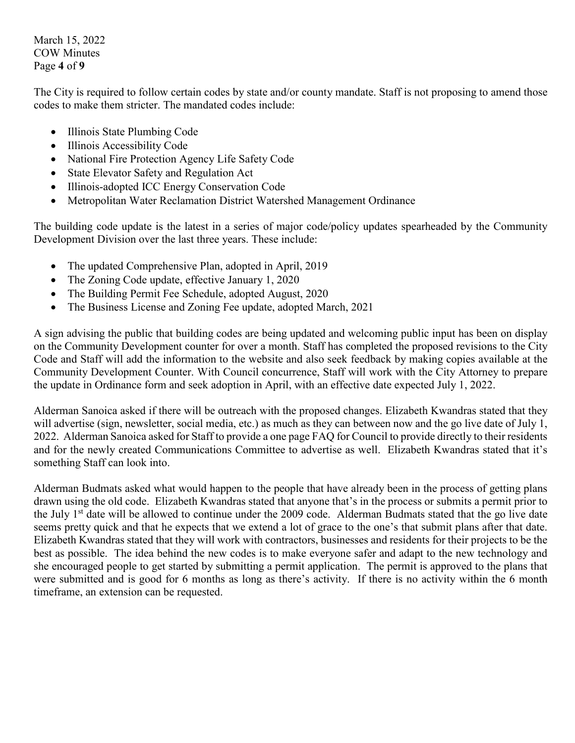March 15, 2022 COW Minutes Page **4** of **9**

The City is required to follow certain codes by state and/or county mandate. Staff is not proposing to amend those codes to make them stricter. The mandated codes include:

- Illinois State Plumbing Code
- Illinois Accessibility Code
- National Fire Protection Agency Life Safety Code
- State Elevator Safety and Regulation Act
- Illinois-adopted ICC Energy Conservation Code
- Metropolitan Water Reclamation District Watershed Management Ordinance

The building code update is the latest in a series of major code/policy updates spearheaded by the Community Development Division over the last three years. These include:

- The updated Comprehensive Plan, adopted in April, 2019
- The Zoning Code update, effective January 1, 2020
- The Building Permit Fee Schedule, adopted August, 2020
- The Business License and Zoning Fee update, adopted March, 2021

A sign advising the public that building codes are being updated and welcoming public input has been on display on the Community Development counter for over a month. Staff has completed the proposed revisions to the City Code and Staff will add the information to the website and also seek feedback by making copies available at the Community Development Counter. With Council concurrence, Staff will work with the City Attorney to prepare the update in Ordinance form and seek adoption in April, with an effective date expected July 1, 2022.

Alderman Sanoica asked if there will be outreach with the proposed changes. Elizabeth Kwandras stated that they will advertise (sign, newsletter, social media, etc.) as much as they can between now and the go live date of July 1, 2022. Alderman Sanoica asked for Staff to provide a one page FAQ for Council to provide directly to their residents and for the newly created Communications Committee to advertise as well. Elizabeth Kwandras stated that it's something Staff can look into.

Alderman Budmats asked what would happen to the people that have already been in the process of getting plans drawn using the old code. Elizabeth Kwandras stated that anyone that's in the process or submits a permit prior to the July 1<sup>st</sup> date will be allowed to continue under the 2009 code. Alderman Budmats stated that the go live date seems pretty quick and that he expects that we extend a lot of grace to the one's that submit plans after that date. Elizabeth Kwandras stated that they will work with contractors, businesses and residents for their projects to be the best as possible. The idea behind the new codes is to make everyone safer and adapt to the new technology and she encouraged people to get started by submitting a permit application. The permit is approved to the plans that were submitted and is good for 6 months as long as there's activity. If there is no activity within the 6 month timeframe, an extension can be requested.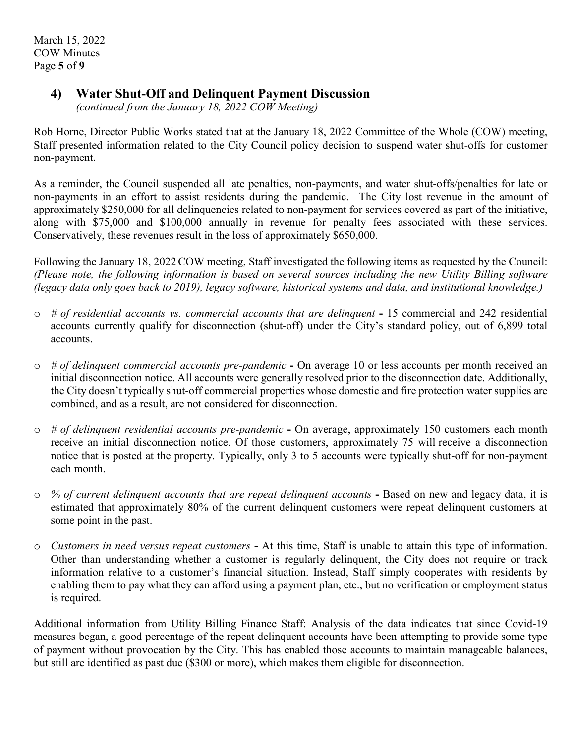#### **4) Water Shut-Off and Delinquent Payment Discussion**

*(continued from the January 18, 2022 COW Meeting)*

Rob Horne, Director Public Works stated that at the January 18, 2022 Committee of the Whole (COW) meeting, Staff presented information related to the City Council policy decision to suspend water shut-offs for customer non-payment.

As a reminder, the Council suspended all late penalties, non-payments, and water shut-offs/penalties for late or non-payments in an effort to assist residents during the pandemic. The City lost revenue in the amount of approximately \$250,000 for all delinquencies related to non-payment for services covered as part of the initiative, along with \$75,000 and \$100,000 annually in revenue for penalty fees associated with these services. Conservatively, these revenues result in the loss of approximately \$650,000.

Following the January 18, 2022 COW meeting, Staff investigated the following items as requested by the Council: *(Please note, the following information is based on several sources including the new Utility Billing software (legacy data only goes back to 2019), legacy software, historical systems and data, and institutional knowledge.)*

- o *# of residential accounts vs. commercial accounts that are delinquent* **-** 15 commercial and 242 residential accounts currently qualify for disconnection (shut-off) under the City's standard policy, out of 6,899 total accounts.
- o *# of delinquent commercial accounts pre-pandemic* **-** On average 10 or less accounts per month received an initial disconnection notice. All accounts were generally resolved prior to the disconnection date. Additionally, the City doesn't typically shut-off commercial properties whose domestic and fire protection water supplies are combined, and as a result, are not considered for disconnection.
- o *# of delinquent residential accounts pre-pandemic* **-** On average, approximately 150 customers each month receive an initial disconnection notice. Of those customers, approximately 75 will receive a disconnection notice that is posted at the property. Typically, only 3 to 5 accounts were typically shut-off for non-payment each month.
- o *% of current delinquent accounts that are repeat delinquent accounts* **-** Based on new and legacy data, it is estimated that approximately 80% of the current delinquent customers were repeat delinquent customers at some point in the past.
- o *Customers in need versus repeat customers* **-** At this time, Staff is unable to attain this type of information. Other than understanding whether a customer is regularly delinquent, the City does not require or track information relative to a customer's financial situation. Instead, Staff simply cooperates with residents by enabling them to pay what they can afford using a payment plan, etc., but no verification or employment status is required.

Additional information from Utility Billing Finance Staff: Analysis of the data indicates that since Covid-19 measures began, a good percentage of the repeat delinquent accounts have been attempting to provide some type of payment without provocation by the City. This has enabled those accounts to maintain manageable balances, but still are identified as past due (\$300 or more), which makes them eligible for disconnection.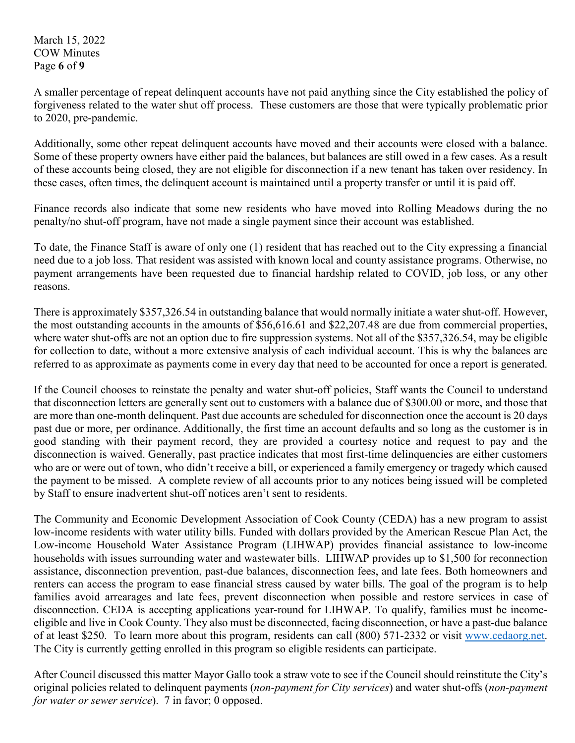March 15, 2022 COW Minutes Page **6** of **9**

A smaller percentage of repeat delinquent accounts have not paid anything since the City established the policy of forgiveness related to the water shut off process. These customers are those that were typically problematic prior to 2020, pre-pandemic.

Additionally, some other repeat delinquent accounts have moved and their accounts were closed with a balance. Some of these property owners have either paid the balances, but balances are still owed in a few cases. As a result of these accounts being closed, they are not eligible for disconnection if a new tenant has taken over residency. In these cases, often times, the delinquent account is maintained until a property transfer or until it is paid off.

Finance records also indicate that some new residents who have moved into Rolling Meadows during the no penalty/no shut-off program, have not made a single payment since their account was established.

To date, the Finance Staff is aware of only one (1) resident that has reached out to the City expressing a financial need due to a job loss. That resident was assisted with known local and county assistance programs. Otherwise, no payment arrangements have been requested due to financial hardship related to COVID, job loss, or any other reasons.

There is approximately \$357,326.54 in outstanding balance that would normally initiate a water shut-off. However, the most outstanding accounts in the amounts of \$56,616.61 and \$22,207.48 are due from commercial properties, where water shut-offs are not an option due to fire suppression systems. Not all of the \$357,326.54, may be eligible for collection to date, without a more extensive analysis of each individual account. This is why the balances are referred to as approximate as payments come in every day that need to be accounted for once a report is generated.

If the Council chooses to reinstate the penalty and water shut-off policies, Staff wants the Council to understand that disconnection letters are generally sent out to customers with a balance due of \$300.00 or more, and those that are more than one-month delinquent. Past due accounts are scheduled for disconnection once the account is 20 days past due or more, per ordinance. Additionally, the first time an account defaults and so long as the customer is in good standing with their payment record, they are provided a courtesy notice and request to pay and the disconnection is waived. Generally, past practice indicates that most first-time delinquencies are either customers who are or were out of town, who didn't receive a bill, or experienced a family emergency or tragedy which caused the payment to be missed. A complete review of all accounts prior to any notices being issued will be completed by Staff to ensure inadvertent shut-off notices aren't sent to residents.

The Community and Economic Development Association of Cook County (CEDA) has a new program to assist low-income residents with water utility bills. Funded with dollars provided by the American Rescue Plan Act, the Low-income Household Water Assistance Program (LIHWAP) provides financial assistance to low-income households with issues surrounding water and wastewater bills. LIHWAP provides up to \$1,500 for reconnection assistance, disconnection prevention, past-due balances, disconnection fees, and late fees. Both homeowners and renters can access the program to ease financial stress caused by water bills. The goal of the program is to help families avoid arrearages and late fees, prevent disconnection when possible and restore services in case of disconnection. CEDA is accepting applications year-round for LIHWAP. To qualify, families must be incomeeligible and live in Cook County. They also must be disconnected, facing disconnection, or have a past-due balance of at least \$250. To learn more about this program, residents can call (800) 571-2332 or visit [www.cedaorg.net.](http://www.cedaorg.net/) The City is currently getting enrolled in this program so eligible residents can participate.

After Council discussed this matter Mayor Gallo took a straw vote to see if the Council should reinstitute the City's original policies related to delinquent payments (*non-payment for City services*) and water shut-offs (*non-payment for water or sewer service*). 7 in favor; 0 opposed.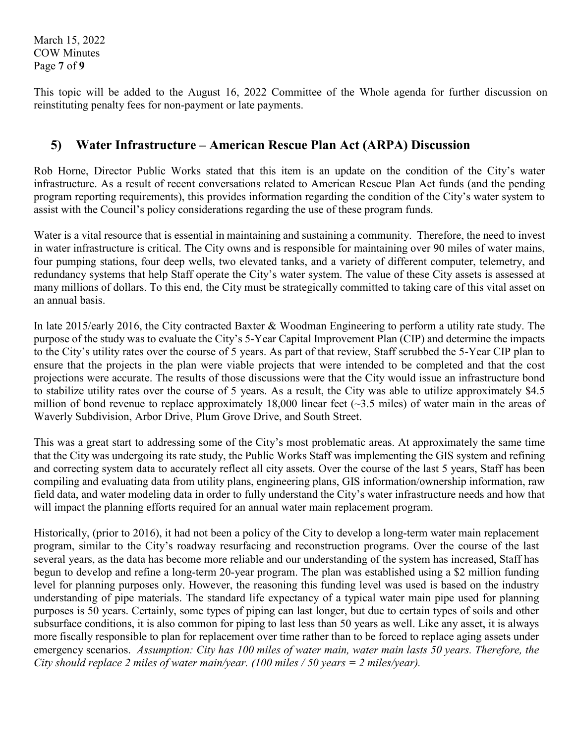March 15, 2022 COW Minutes Page **7** of **9**

This topic will be added to the August 16, 2022 Committee of the Whole agenda for further discussion on reinstituting penalty fees for non-payment or late payments.

#### **5) Water Infrastructure – American Rescue Plan Act (ARPA) Discussion**

Rob Horne, Director Public Works stated that this item is an update on the condition of the City's water infrastructure. As a result of recent conversations related to American Rescue Plan Act funds (and the pending program reporting requirements), this provides information regarding the condition of the City's water system to assist with the Council's policy considerations regarding the use of these program funds.

Water is a vital resource that is essential in maintaining and sustaining a community. Therefore, the need to invest in water infrastructure is critical. The City owns and is responsible for maintaining over 90 miles of water mains, four pumping stations, four deep wells, two elevated tanks, and a variety of different computer, telemetry, and redundancy systems that help Staff operate the City's water system. The value of these City assets is assessed at many millions of dollars. To this end, the City must be strategically committed to taking care of this vital asset on an annual basis.

In late 2015/early 2016, the City contracted Baxter & Woodman Engineering to perform a utility rate study. The purpose of the study was to evaluate the City's 5-Year Capital Improvement Plan (CIP) and determine the impacts to the City's utility rates over the course of 5 years. As part of that review, Staff scrubbed the 5-Year CIP plan to ensure that the projects in the plan were viable projects that were intended to be completed and that the cost projections were accurate. The results of those discussions were that the City would issue an infrastructure bond to stabilize utility rates over the course of 5 years. As a result, the City was able to utilize approximately \$4.5 million of bond revenue to replace approximately 18,000 linear feet (~3.5 miles) of water main in the areas of Waverly Subdivision, Arbor Drive, Plum Grove Drive, and South Street.

This was a great start to addressing some of the City's most problematic areas. At approximately the same time that the City was undergoing its rate study, the Public Works Staff was implementing the GIS system and refining and correcting system data to accurately reflect all city assets. Over the course of the last 5 years, Staff has been compiling and evaluating data from utility plans, engineering plans, GIS information/ownership information, raw field data, and water modeling data in order to fully understand the City's water infrastructure needs and how that will impact the planning efforts required for an annual water main replacement program.

Historically, (prior to 2016), it had not been a policy of the City to develop a long-term water main replacement program, similar to the City's roadway resurfacing and reconstruction programs. Over the course of the last several years, as the data has become more reliable and our understanding of the system has increased, Staff has begun to develop and refine a long-term 20-year program. The plan was established using a \$2 million funding level for planning purposes only. However, the reasoning this funding level was used is based on the industry understanding of pipe materials. The standard life expectancy of a typical water main pipe used for planning purposes is 50 years. Certainly, some types of piping can last longer, but due to certain types of soils and other subsurface conditions, it is also common for piping to last less than 50 years as well. Like any asset, it is always more fiscally responsible to plan for replacement over time rather than to be forced to replace aging assets under emergency scenarios. *Assumption: City has 100 miles of water main, water main lasts 50 years. Therefore, the City should replace 2 miles of water main/year. (100 miles / 50 years = 2 miles/year).*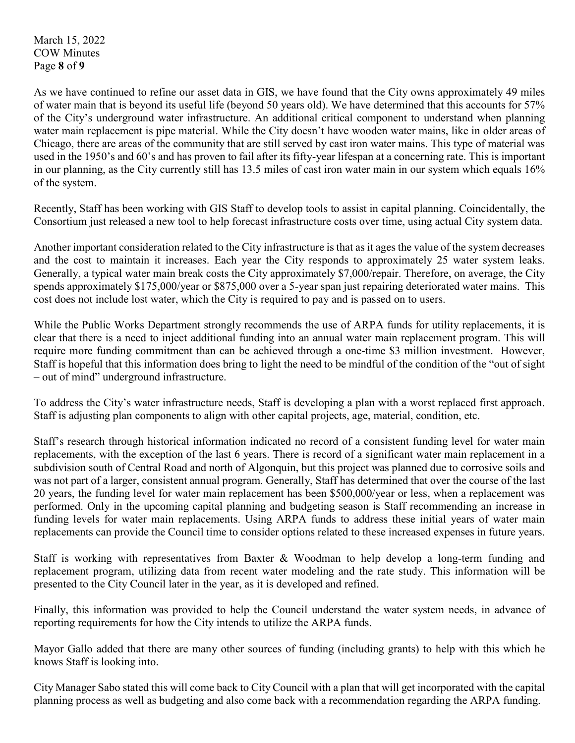March 15, 2022 COW Minutes Page **8** of **9**

As we have continued to refine our asset data in GIS, we have found that the City owns approximately 49 miles of water main that is beyond its useful life (beyond 50 years old). We have determined that this accounts for 57% of the City's underground water infrastructure. An additional critical component to understand when planning water main replacement is pipe material. While the City doesn't have wooden water mains, like in older areas of Chicago, there are areas of the community that are still served by cast iron water mains. This type of material was used in the 1950's and 60's and has proven to fail after its fifty-year lifespan at a concerning rate. This is important in our planning, as the City currently still has 13.5 miles of cast iron water main in our system which equals 16% of the system.

Recently, Staff has been working with GIS Staff to develop tools to assist in capital planning. Coincidentally, the Consortium just released a new tool to help forecast infrastructure costs over time, using actual City system data.

Another important consideration related to the City infrastructure is that as it ages the value of the system decreases and the cost to maintain it increases. Each year the City responds to approximately 25 water system leaks. Generally, a typical water main break costs the City approximately \$7,000/repair. Therefore, on average, the City spends approximately \$175,000/year or \$875,000 over a 5-year span just repairing deteriorated water mains. This cost does not include lost water, which the City is required to pay and is passed on to users.

While the Public Works Department strongly recommends the use of ARPA funds for utility replacements, it is clear that there is a need to inject additional funding into an annual water main replacement program. This will require more funding commitment than can be achieved through a one-time \$3 million investment. However, Staff is hopeful that this information does bring to light the need to be mindful of the condition of the "out of sight – out of mind" underground infrastructure.

To address the City's water infrastructure needs, Staff is developing a plan with a worst replaced first approach. Staff is adjusting plan components to align with other capital projects, age, material, condition, etc.

Staff's research through historical information indicated no record of a consistent funding level for water main replacements, with the exception of the last 6 years. There is record of a significant water main replacement in a subdivision south of Central Road and north of Algonquin, but this project was planned due to corrosive soils and was not part of a larger, consistent annual program. Generally, Staff has determined that over the course of the last 20 years, the funding level for water main replacement has been \$500,000/year or less, when a replacement was performed. Only in the upcoming capital planning and budgeting season is Staff recommending an increase in funding levels for water main replacements. Using ARPA funds to address these initial years of water main replacements can provide the Council time to consider options related to these increased expenses in future years.

Staff is working with representatives from Baxter & Woodman to help develop a long-term funding and replacement program, utilizing data from recent water modeling and the rate study. This information will be presented to the City Council later in the year, as it is developed and refined.

Finally, this information was provided to help the Council understand the water system needs, in advance of reporting requirements for how the City intends to utilize the ARPA funds.

Mayor Gallo added that there are many other sources of funding (including grants) to help with this which he knows Staff is looking into.

City Manager Sabo stated this will come back to City Council with a plan that will get incorporated with the capital planning process as well as budgeting and also come back with a recommendation regarding the ARPA funding.